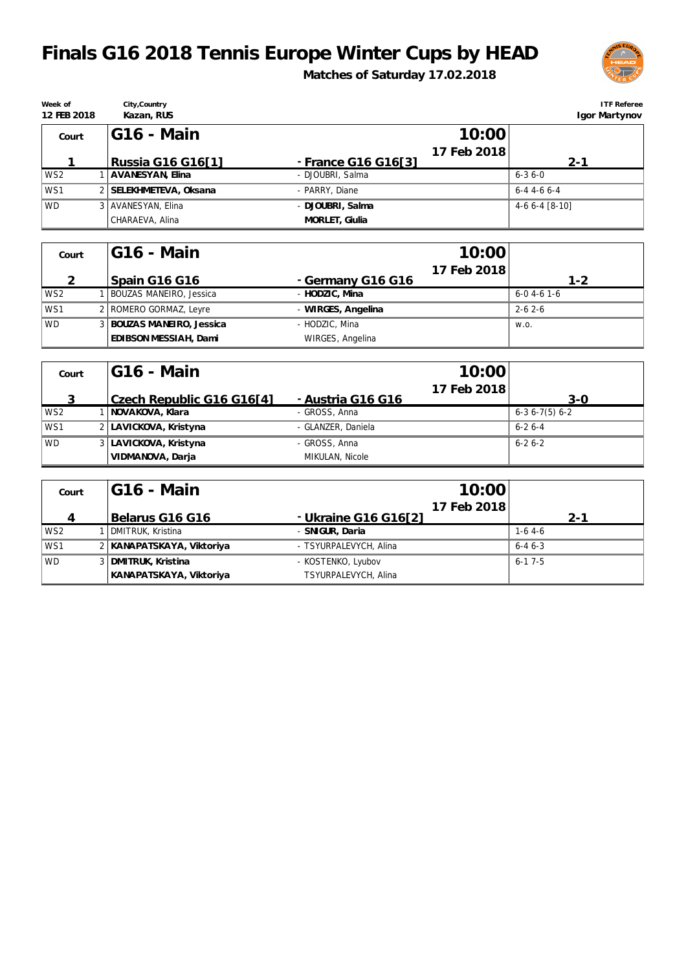## **Finals G16 2018 Tennis Europe Winter Cups by HEAD**

**Week of 12 FEB 2018**

CHARAEVA, Alina

**Matches of Saturday 17.02.2018**



| Veek of<br>2 FEB 2018 | City, Country<br>Kazan, RUS |                     | <b>ITF Referee</b><br>Igor Martynov |
|-----------------------|-----------------------------|---------------------|-------------------------------------|
| Court                 | IG16 - Main                 | 10:00               |                                     |
|                       |                             | 17 Feb 2018         |                                     |
|                       | Russia G16 G16[1]           | - France G16 G16[3] | $2 - 1$                             |
| WS2                   | AVANESYAN, Elina            | - DJOUBRI, Salma    | $6 - 36 - 0$                        |
| WS1                   | 2 SELEKHMETEVA, Oksana      | - PARRY, Diane      | $6-4$ 4-6 6-4                       |
| WD.                   | 3   AVANESYAN, Elina        | - DJOUBRI, Salma    | $4-66-4$ [8-10]                     |

| Court           | IG16 - Main                 | 10:00              |                     |
|-----------------|-----------------------------|--------------------|---------------------|
|                 |                             | 17 Feb 2018        |                     |
|                 | Spain G16 G16               | - Germany G16 G16  | $1 - 2$             |
| WS <sub>2</sub> | BOUZAS MANEIRO, Jessica     | - HODZIC, Mina     | $6 - 0$ 4 - 6 1 - 6 |
| WS1             | 2   ROMERO GORMAZ, Leyre    | - WIRGES, Angelina | $2 - 62 - 6$        |
| <b>WD</b>       | 3   BOUZAS MANEIRO, Jessica | - HODZIC, Mina     | W.O.                |
|                 | EDIBSON MESSIAH, Dami       | WIRGES, Angelina   |                     |

**MORLET, Giulia**

| Court           | IG16 - Main               |                    | 10:00       |                |
|-----------------|---------------------------|--------------------|-------------|----------------|
|                 | Czech Republic G16 G16[4] | - Austria G16 G16  | 17 Feb 2018 | $3-0$          |
| WS <sub>2</sub> | NOVAKOVA, Klara           | - GROSS, Anna      |             | $6-36-7(5)6-2$ |
| WS1             | 2   LAVICKOVA, Kristyna   | - GLANZER, Daniela |             | $6 - 26 - 4$   |
| <b>WD</b>       | 3 LAVICKOVA, Kristyna     | - GROSS, Anna      |             | $6 - 26 - 2$   |
|                 | VIDMANOVA, Darja          | MIKULAN, Nicole    |             |                |

| Court           | IG16 - Main                 | 10:00                               |              |
|-----------------|-----------------------------|-------------------------------------|--------------|
|                 | Belarus G16 G16             | 17 Feb 2018<br>- Ukraine G16 G16[2] | $2 - 1$      |
| WS <sub>2</sub> | DMITRUK, Kristina           | - SNIGUR, Daria                     | $1-6$ 4-6    |
| WS1             | 2   KANAPATSKAYA, Viktoriya | - TSYURPALEVYCH, Alina              | $6 - 46 - 3$ |
| <b>WD</b>       | 3   DMITRUK, Kristina       | - KOSTENKO, Lyubov                  | $6 - 17 - 5$ |
|                 | KANAPATSKAYA, Viktoriya     | TSYURPALEVYCH, Alina                |              |